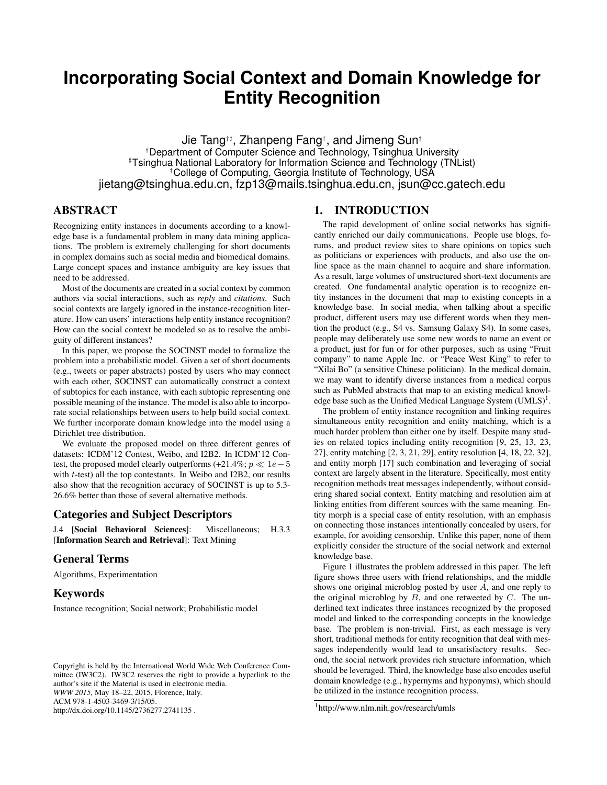# **Incorporating Social Context and Domain Knowledge for Entity Recognition**

Jie Tang†] , Zhanpeng Fang† , and Jimeng Sun‡ †Department of Computer Science and Technology, Tsinghua University ]Tsinghua National Laboratory for Information Science and Technology (TNList) College of Computing, Georgia Institute of Technology, USA jietang@tsinghua.edu.cn, fzp13@mails.tsinghua.edu.cn, jsun@cc.gatech.edu

# ABSTRACT

Recognizing entity instances in documents according to a knowledge base is a fundamental problem in many data mining applications. The problem is extremely challenging for short documents in complex domains such as social media and biomedical domains. Large concept spaces and instance ambiguity are key issues that need to be addressed.

Most of the documents are created in a social context by common authors via social interactions, such as *reply* and *citations*. Such social contexts are largely ignored in the instance-recognition literature. How can users' interactions help entity instance recognition? How can the social context be modeled so as to resolve the ambiguity of different instances?

In this paper, we propose the SOCINST model to formalize the problem into a probabilistic model. Given a set of short documents (e.g., tweets or paper abstracts) posted by users who may connect with each other, SOCINST can automatically construct a context of subtopics for each instance, with each subtopic representing one possible meaning of the instance. The model is also able to incorporate social relationships between users to help build social context. We further incorporate domain knowledge into the model using a Dirichlet tree distribution.

We evaluate the proposed model on three different genres of datasets: ICDM'12 Contest, Weibo, and I2B2. In ICDM'12 Contest, the proposed model clearly outperforms (+21.4%;  $p \ll 1e-5$ with t-test) all the top contestants. In Weibo and I2B2, our results also show that the recognition accuracy of SOCINST is up to 5.3- 26.6% better than those of several alternative methods.

### Categories and Subject Descriptors

J.4 [Social Behavioral Sciences]: Miscellaneous; H.3.3 [Information Search and Retrieval]: Text Mining

#### General Terms

Algorithms, Experimentation

# Keywords

Instance recognition; Social network; Probabilistic model

### 1. INTRODUCTION

The rapid development of online social networks has significantly enriched our daily communications. People use blogs, forums, and product review sites to share opinions on topics such as politicians or experiences with products, and also use the online space as the main channel to acquire and share information. As a result, large volumes of unstructured short-text documents are created. One fundamental analytic operation is to recognize entity instances in the document that map to existing concepts in a knowledge base. In social media, when talking about a specific product, different users may use different words when they mention the product (e.g., S4 vs. Samsung Galaxy S4). In some cases, people may deliberately use some new words to name an event or a product, just for fun or for other purposes, such as using "Fruit company" to name Apple Inc. or "Peace West King" to refer to "Xilai Bo" (a sensitive Chinese politician). In the medical domain, we may want to identify diverse instances from a medical corpus such as PubMed abstracts that map to an existing medical knowledge base such as the Unified Medical Language System  $(UMLS)^1$ .

The problem of entity instance recognition and linking requires simultaneous entity recognition and entity matching, which is a much harder problem than either one by itself. Despite many studies on related topics including entity recognition [9, 25, 13, 23, 27], entity matching [2, 3, 21, 29], entity resolution [4, 18, 22, 32], and entity morph [17] such combination and leveraging of social context are largely absent in the literature. Specifically, most entity recognition methods treat messages independently, without considering shared social context. Entity matching and resolution aim at linking entities from different sources with the same meaning. Entity morph is a special case of entity resolution, with an emphasis on connecting those instances intentionally concealed by users, for example, for avoiding censorship. Unlike this paper, none of them explicitly consider the structure of the social network and external knowledge base.

Figure 1 illustrates the problem addressed in this paper. The left figure shows three users with friend relationships, and the middle shows one original microblog posted by user A, and one reply to the original microblog by  $B$ , and one retweeted by  $C$ . The underlined text indicates three instances recognized by the proposed model and linked to the corresponding concepts in the knowledge base. The problem is non-trivial. First, as each message is very short, traditional methods for entity recognition that deal with messages independently would lead to unsatisfactory results. Second, the social network provides rich structure information, which should be leveraged. Third, the knowledge base also encodes useful domain knowledge (e.g., hypernyms and hyponyms), which should be utilized in the instance recognition process.

Copyright is held by the International World Wide Web Conference Committee (IW3C2). IW3C2 reserves the right to provide a hyperlink to the author's site if the Material is used in electronic media. *WWW 2015,* May 18–22, 2015, Florence, Italy. ACM 978-1-4503-3469-3/15/05. http://dx.doi.org/10.1145/2736277.2741135 .

<sup>1</sup> http://www.nlm.nih.gov/research/umls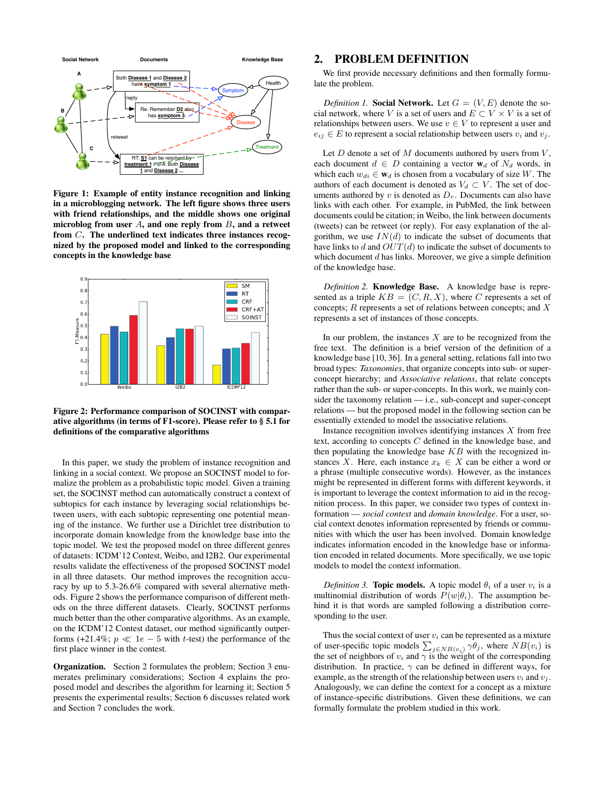

Figure 1: Example of entity instance recognition and linking in a microblogging network. The left figure shows three users with friend relationships, and the middle shows one original microblog from user  $A$ , and one reply from  $B$ , and a retweet from C. The underlined text indicates three instances recognized by the proposed model and linked to the corresponding concepts in the knowledge base



Figure 2: Performance comparison of SOCINST with comparative algorithms (in terms of F1-score). Please refer to § 5.1 for definitions of the comparative algorithms

In this paper, we study the problem of instance recognition and linking in a social context. We propose an SOCINST model to formalize the problem as a probabilistic topic model. Given a training set, the SOCINST method can automatically construct a context of subtopics for each instance by leveraging social relationships between users, with each subtopic representing one potential meaning of the instance. We further use a Dirichlet tree distribution to incorporate domain knowledge from the knowledge base into the topic model. We test the proposed model on three different genres of datasets: ICDM'12 Contest, Weibo, and I2B2. Our experimental results validate the effectiveness of the proposed SOCINST model in all three datasets. Our method improves the recognition accuracy by up to 5.3-26.6% compared with several alternative methods. Figure 2 shows the performance comparison of different methods on the three different datasets. Clearly, SOCINST performs much better than the other comparative algorithms. As an example, on the ICDM'12 Contest dataset, our method significantly outperforms (+21.4%;  $p \ll 1e - 5$  with t-test) the performance of the first place winner in the contest.

Organization. Section 2 formulates the problem; Section 3 enumerates preliminary considerations; Section 4 explains the proposed model and describes the algorithm for learning it; Section 5 presents the experimental results; Section 6 discusses related work and Section 7 concludes the work.

#### 2. PROBLEM DEFINITION

We first provide necessary definitions and then formally formulate the problem.

*Definition 1.* Social Network. Let  $G = (V, E)$  denote the social network, where V is a set of users and  $E \subset V \times V$  is a set of relationships between users. We use  $v \in V$  to represent a user and  $e_{ij} \in E$  to represent a social relationship between users  $v_i$  and  $v_j$ .

Let  $D$  denote a set of  $M$  documents authored by users from  $V$ , each document  $d \in D$  containing a vector  $\mathbf{w}_d$  of  $N_d$  words, in which each  $w_{di} \in \mathbf{w}_d$  is chosen from a vocabulary of size W. The authors of each document is denoted as  $V_d \subset V$ . The set of documents authored by  $v$  is denoted as  $D_v$ . Documents can also have links with each other. For example, in PubMed, the link between documents could be citation; in Weibo, the link between documents (tweets) can be retweet (or reply). For easy explanation of the algorithm, we use  $IN(d)$  to indicate the subset of documents that have links to d and  $OUT(d)$  to indicate the subset of documents to which document  $d$  has links. Moreover, we give a simple definition of the knowledge base.

*Definition 2.* Knowledge Base. A knowledge base is represented as a triple  $KB = (C, R, X)$ , where C represents a set of concepts;  $R$  represents a set of relations between concepts; and  $X$ represents a set of instances of those concepts.

In our problem, the instances  $X$  are to be recognized from the free text. The definition is a brief version of the definition of a knowledge base [10, 36]. In a general setting, relations fall into two broad types: *Taxonomies*, that organize concepts into sub- or superconcept hierarchy; and *Associative relations*, that relate concepts rather than the sub- or super-concepts. In this work, we mainly consider the taxonomy relation — i.e., sub-concept and super-concept relations — but the proposed model in the following section can be essentially extended to model the associative relations.

Instance recognition involves identifying instances  $X$  from free text, according to concepts C defined in the knowledge base, and then populating the knowledge base  $KB$  with the recognized instances X. Here, each instance  $x_k \in X$  can be either a word or a phrase (multiple consecutive words). However, as the instances might be represented in different forms with different keywords, it is important to leverage the context information to aid in the recognition process. In this paper, we consider two types of context information — *social context* and *domain knowledge*. For a user, social context denotes information represented by friends or communities with which the user has been involved. Domain knowledge indicates information encoded in the knowledge base or information encoded in related documents. More specifically, we use topic models to model the context information.

*Definition 3.* **Topic models.** A topic model  $\theta_i$  of a user  $v_i$  is a multinomial distribution of words  $P(w|\theta_i)$ . The assumption behind it is that words are sampled following a distribution corresponding to the user.

Thus the social context of user  $v_i$  can be represented as a mixture of user-specific topic models  $\sum_{j \in NB(v_i)} \gamma \theta_j$ , where  $NB(v_i)$  is the set of neighbors of  $v_i$  and  $\gamma$  is the weight of the corresponding distribution. In practice,  $\gamma$  can be defined in different ways, for example, as the strength of the relationship between users  $v_i$  and  $v_j$ . Analogously, we can define the context for a concept as a mixture of instance-specific distributions. Given these definitions, we can formally formulate the problem studied in this work.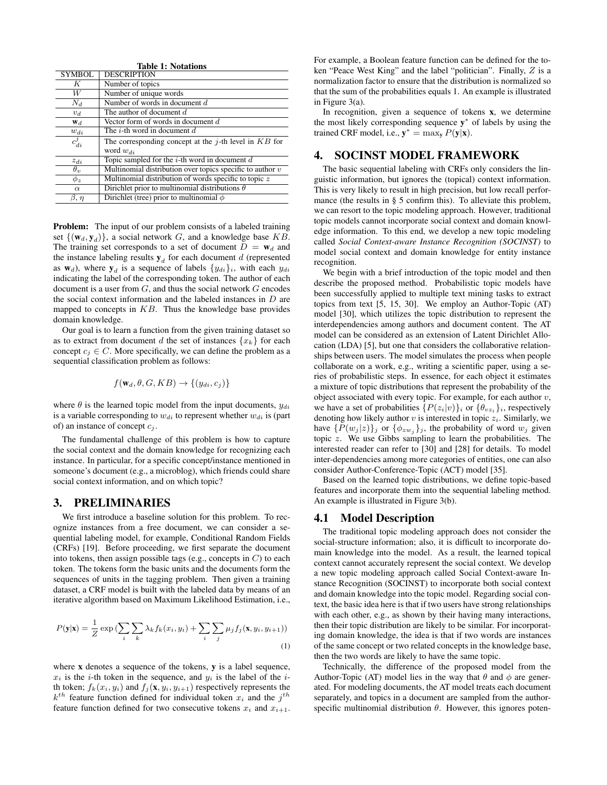| <b>Table 1: Notations</b> |                                                             |  |  |  |
|---------------------------|-------------------------------------------------------------|--|--|--|
| <b>SYMBOL</b>             | <b>DESCRIPTION</b>                                          |  |  |  |
| K                         | Number of topics                                            |  |  |  |
| W                         | Number of unique words                                      |  |  |  |
| $N_d$                     | Number of words in document $d$                             |  |  |  |
| $v_d$                     | The author of document d                                    |  |  |  |
| $W_d$                     | Vector form of words in document d                          |  |  |  |
| $w_{di}$                  | The <i>i</i> -th word in document $d$                       |  |  |  |
| $c_{di}^j$                | The corresponding concept at the $j$ -th level in $KB$ for  |  |  |  |
|                           | word $w_{di}$                                               |  |  |  |
| $z_{di}$                  | Topic sampled for the $i$ -th word in document $d$          |  |  |  |
| $\theta_v$                | Multinomial distribution over topics specific to author $v$ |  |  |  |
| $\phi$ .                  | Multinomial distribution of words specific to topic $z$     |  |  |  |
| $\alpha$                  | Dirichlet prior to multinomial distributions $\theta$       |  |  |  |
| $\beta, \, \eta$          | Dirichlet (tree) prior to multinomial $\phi$                |  |  |  |

**Problem:** The input of our problem consists of a labeled training set  $\{(\mathbf{w}_d, \mathbf{y}_d)\}\$ , a social network G, and a knowledge base KB. The training set corresponds to a set of document  $D = w_d$  and the instance labeling results  $y_d$  for each document d (represented as  $w_d$ ), where  $y_d$  is a sequence of labels  $\{y_{di}\}_i$ , with each  $y_{di}$ indicating the label of the corresponding token. The author of each document is a user from  $G$ , and thus the social network  $G$  encodes the social context information and the labeled instances in D are mapped to concepts in  $KB$ . Thus the knowledge base provides domain knowledge.

Our goal is to learn a function from the given training dataset so as to extract from document d the set of instances  $\{x_k\}$  for each concept  $c_i \in C$ . More specifically, we can define the problem as a sequential classification problem as follows:

$$
f(\mathbf{w}_d, \theta, G, KB) \rightarrow \{(y_{di}, c_j)\}
$$

where  $\theta$  is the learned topic model from the input documents,  $y_{di}$ is a variable corresponding to  $w_{di}$  to represent whether  $w_{di}$  is (part of) an instance of concept  $c_j$ .

The fundamental challenge of this problem is how to capture the social context and the domain knowledge for recognizing each instance. In particular, for a specific concept/instance mentioned in someone's document (e.g., a microblog), which friends could share social context information, and on which topic?

#### 3. PRELIMINARIES

We first introduce a baseline solution for this problem. To recognize instances from a free document, we can consider a sequential labeling model, for example, Conditional Random Fields (CRFs) [19]. Before proceeding, we first separate the document into tokens, then assign possible tags (e.g., concepts in  $C$ ) to each token. The tokens form the basic units and the documents form the sequences of units in the tagging problem. Then given a training dataset, a CRF model is built with the labeled data by means of an iterative algorithm based on Maximum Likelihood Estimation, i.e.,

$$
P(\mathbf{y}|\mathbf{x}) = \frac{1}{Z} \exp\left(\sum_{i} \sum_{k} \lambda_{k} f_{k}(x_{i}, y_{i}) + \sum_{i} \sum_{j} \mu_{j} f_{j}(\mathbf{x}, y_{i}, y_{i+1})\right)
$$
\n(1)

where x denotes a sequence of the tokens, y is a label sequence,  $x_i$  is the *i*-th token in the sequence, and  $y_i$  is the label of the *i*th token;  $f_k(x_i, y_i)$  and  $f_j(\mathbf{x}, y_i, y_{i+1})$  respectively represents the  $k^{th}$  feature function defined for individual token  $x_i$  and the  $j^{th}$ feature function defined for two consecutive tokens  $x_i$  and  $x_{i+1}$ . For example, a Boolean feature function can be defined for the token "Peace West King" and the label "politician". Finally, Z is a normalization factor to ensure that the distribution is normalized so that the sum of the probabilities equals 1. An example is illustrated in Figure 3(a).

In recognition, given a sequence of tokens x, we determine the most likely corresponding sequence y ∗ of labels by using the trained CRF model, i.e.,  $y^* = \max_{y} P(y|x)$ .

# 4. SOCINST MODEL FRAMEWORK

The basic sequential labeling with CRFs only considers the linguistic information, but ignores the (topical) context information. This is very likely to result in high precision, but low recall performance (the results in § 5 confirm this). To alleviate this problem, we can resort to the topic modeling approach. However, traditional topic models cannot incorporate social context and domain knowledge information. To this end, we develop a new topic modeling called *Social Context-aware Instance Recognition (SOCINST)* to model social context and domain knowledge for entity instance recognition.

We begin with a brief introduction of the topic model and then describe the proposed method. Probabilistic topic models have been successfully applied to multiple text mining tasks to extract topics from text [5, 15, 30]. We employ an Author-Topic (AT) model [30], which utilizes the topic distribution to represent the interdependencies among authors and document content. The AT model can be considered as an extension of Latent Dirichlet Allocation (LDA) [5], but one that considers the collaborative relationships between users. The model simulates the process when people collaborate on a work, e.g., writing a scientific paper, using a series of probabilistic steps. In essence, for each object it estimates a mixture of topic distributions that represent the probability of the object associated with every topic. For example, for each author  $v$ , we have a set of probabilities  $\{P(z_i|v)\}\$ i or  $\{\theta_{v_i}\}\$ i, respectively denoting how likely author  $v$  is interested in topic  $z_i$ . Similarly, we have  $\{P(w_j | z)\}_j$  or  $\{\phi_{zw_j}\}_j$ , the probability of word  $w_j$  given topic z. We use Gibbs sampling to learn the probabilities. The interested reader can refer to [30] and [28] for details. To model inter-dependencies among more categories of entities, one can also consider Author-Conference-Topic (ACT) model [35].

Based on the learned topic distributions, we define topic-based features and incorporate them into the sequential labeling method. An example is illustrated in Figure 3(b).

### 4.1 Model Description

The traditional topic modeling approach does not consider the social-structure information; also, it is difficult to incorporate domain knowledge into the model. As a result, the learned topical context cannot accurately represent the social context. We develop a new topic modeling approach called Social Context-aware Instance Recognition (SOCINST) to incorporate both social context and domain knowledge into the topic model. Regarding social context, the basic idea here is that if two users have strong relationships with each other, e.g., as shown by their having many interactions, then their topic distribution are likely to be similar. For incorporating domain knowledge, the idea is that if two words are instances of the same concept or two related concepts in the knowledge base, then the two words are likely to have the same topic.

Technically, the difference of the proposed model from the Author-Topic (AT) model lies in the way that  $\theta$  and  $\phi$  are generated. For modeling documents, the AT model treats each document separately, and topics in a document are sampled from the authorspecific multinomial distribution  $\theta$ . However, this ignores poten-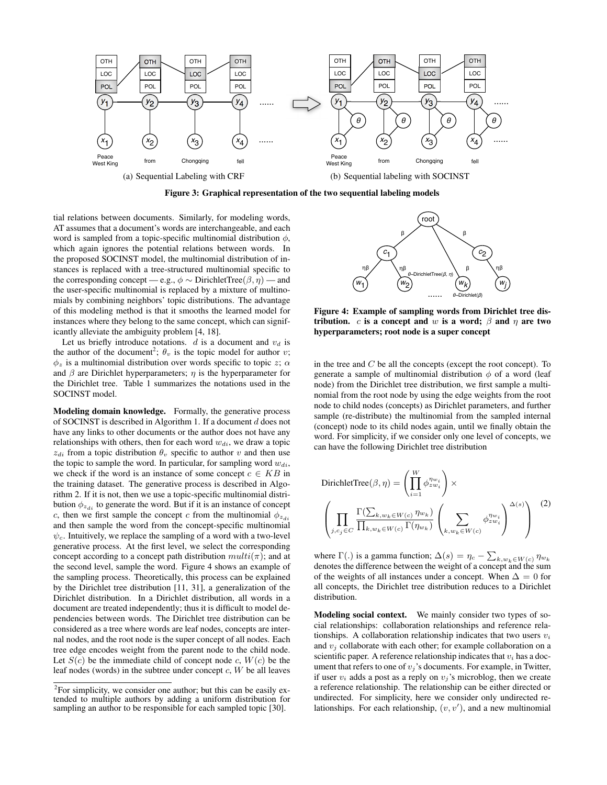

Figure 3: Graphical representation of the two sequential labeling models

tial relations between documents. Similarly, for modeling words, AT assumes that a document's words are interchangeable, and each word is sampled from a topic-specific multinomial distribution  $\phi$ , which again ignores the potential relations between words. In the proposed SOCINST model, the multinomial distribution of instances is replaced with a tree-structured multinomial specific to the corresponding concept — e.g.,  $\phi \sim$  DirichletTree( $\beta$ ,  $\eta$ ) — and the user-specific multinomial is replaced by a mixture of multinomials by combining neighbors' topic distributions. The advantage of this modeling method is that it smooths the learned model for instances where they belong to the same concept, which can significantly alleviate the ambiguity problem [4, 18].

Let us briefly introduce notations.  $d$  is a document and  $v_d$  is the author of the document<sup>2</sup>;  $\theta_v$  is the topic model for author v;  $\phi_z$  is a multinomial distribution over words specific to topic z;  $\alpha$ and  $\beta$  are Dirichlet hyperparameters;  $\eta$  is the hyperparameter for the Dirichlet tree. Table 1 summarizes the notations used in the SOCINST model.

Modeling domain knowledge. Formally, the generative process of SOCINST is described in Algorithm 1. If a document d does not have any links to other documents or the author does not have any relationships with others, then for each word  $w_{di}$ , we draw a topic  $z_{di}$  from a topic distribution  $\theta_v$  specific to author v and then use the topic to sample the word. In particular, for sampling word  $w_{di}$ , we check if the word is an instance of some concept  $c \in KB$  in the training dataset. The generative process is described in Algorithm 2. If it is not, then we use a topic-specific multinomial distribution  $\phi_{z_{di}}$  to generate the word. But if it is an instance of concept c, then we first sample the concept c from the multinomial  $\phi_{z_{di}}$ and then sample the word from the concept-specific multinomial  $\psi_c$ . Intuitively, we replace the sampling of a word with a two-level generative process. At the first level, we select the corresponding concept according to a concept path distribution  $multi(\pi)$ ; and at the second level, sample the word. Figure 4 shows an example of the sampling process. Theoretically, this process can be explained by the Dirichlet tree distribution [11, 31], a generalization of the Dirichlet distribution. In a Dirichlet distribution, all words in a document are treated independently; thus it is difficult to model dependencies between words. The Dirichlet tree distribution can be considered as a tree where words are leaf nodes, concepts are internal nodes, and the root node is the super concept of all nodes. Each tree edge encodes weight from the parent node to the child node. Let  $S(c)$  be the immediate child of concept node c,  $W(c)$  be the leaf nodes (words) in the subtree under concept  $c$ ,  $W$  be all leaves



Figure 4: Example of sampling words from Dirichlet tree distribution. c is a concept and w is a word;  $\beta$  and  $\eta$  are two hyperparameters; root node is a super concept

in the tree and  $C$  be all the concepts (except the root concept). To generate a sample of multinomial distribution  $\phi$  of a word (leaf node) from the Dirichlet tree distribution, we first sample a multinomial from the root node by using the edge weights from the root node to child nodes (concepts) as Dirichlet parameters, and further sample (re-distribute) the multinomial from the sampled internal (concept) node to its child nodes again, until we finally obtain the word. For simplicity, if we consider only one level of concepts, we can have the following Dirichlet tree distribution

DirichletTree
$$
(\beta, \eta)
$$
 =  $\left(\prod_{i=1}^{W} \phi_{zw_i}^{\eta_{w_i}}\right) \times$   

$$
\left(\prod_{j,c_j \in C} \frac{\Gamma(\sum_{k,w_k \in W(c)} \eta_{w_k})}{\prod_{k,w_k \in W(c)} \Gamma(\eta_{w_k})} \left(\sum_{k,w_k \in W(c)} \phi_{zw_i}^{\eta_{w_i}}\right)^{\Delta(s)}\right)
$$
(2)

where  $\Gamma(.)$  is a gamma function;  $\Delta(s) = \eta_c - \sum_{k,w_k \in W(c)} \eta_{w_k}$ denotes the difference between the weight of a concept and the sum of the weights of all instances under a concept. When  $\Delta = 0$  for all concepts, the Dirichlet tree distribution reduces to a Dirichlet distribution.

Modeling social context. We mainly consider two types of social relationships: collaboration relationships and reference relationships. A collaboration relationship indicates that two users  $v_i$ and  $v_i$  collaborate with each other; for example collaboration on a scientific paper. A reference relationship indicates that  $v_i$  has a document that refers to one of  $v_i$ 's documents. For example, in Twitter, if user  $v_i$  adds a post as a reply on  $v_j$ 's microblog, then we create a reference relationship. The relationship can be either directed or undirected. For simplicity, here we consider only undirected relationships. For each relationship,  $(v, v')$ , and a new multinomial

 $2^2$ For simplicity, we consider one author; but this can be easily extended to multiple authors by adding a uniform distribution for sampling an author to be responsible for each sampled topic [30].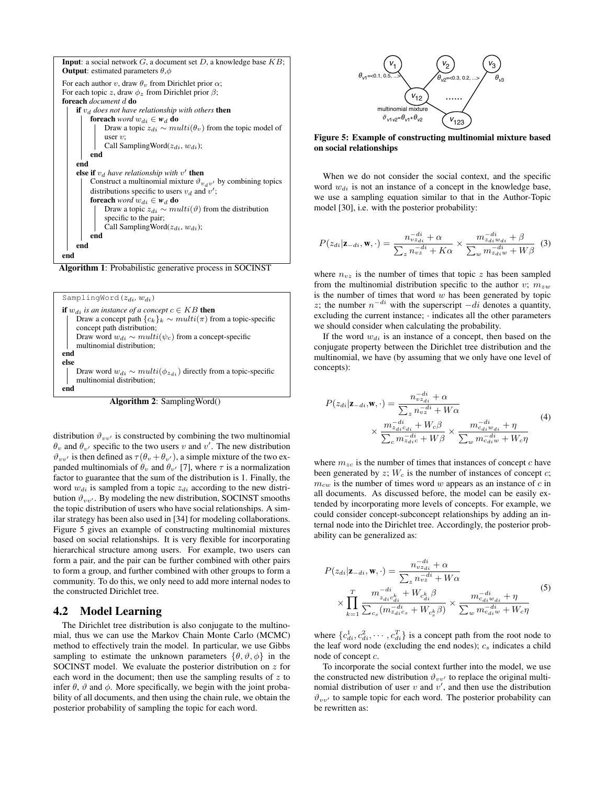

Algorithm 1: Probabilistic generative process in SOCINST



Algorithm 2: SamplingWord()

distribution  $\vartheta_{vv'}$  is constructed by combining the two multinomial  $\theta_v$  and  $\theta_{v'}$  specific to the two users v and v'. The new distribution  $\vartheta_{vv'}$  is then defined as  $\tau(\theta_v + \theta_{v'})$ , a simple mixture of the two expanded multinomials of  $\theta_v$  and  $\theta_{v'}$  [7], where  $\tau$  is a normalization factor to guarantee that the sum of the distribution is 1. Finally, the word  $w_{di}$  is sampled from a topic  $z_{di}$  according to the new distribution  $\vartheta_{vv'}$ . By modeling the new distribution, SOCINST smooths the topic distribution of users who have social relationships. A similar strategy has been also used in [34] for modeling collaborations. Figure 5 gives an example of constructing multinomial mixtures based on social relationships. It is very flexible for incorporating hierarchical structure among users. For example, two users can form a pair, and the pair can be further combined with other pairs to form a group, and further combined with other groups to form a community. To do this, we only need to add more internal nodes to the constructed Dirichlet tree.

## 4.2 Model Learning

The Dirichlet tree distribution is also conjugate to the multinomial, thus we can use the Markov Chain Monte Carlo (MCMC) method to effectively train the model. In particular, we use Gibbs sampling to estimate the unknown parameters  $\{\theta, \vartheta, \varphi\}$  in the SOCINST model. We evaluate the posterior distribution on z for each word in the document; then use the sampling results of  $z$  to infer  $\theta$ ,  $\vartheta$  and  $\phi$ . More specifically, we begin with the joint probability of all documents, and then using the chain rule, we obtain the posterior probability of sampling the topic for each word.



Figure 5: Example of constructing multinomial mixture based on social relationships

When we do not consider the social context, and the specific word  $w_{di}$  is not an instance of a concept in the knowledge base, we use a sampling equation similar to that in the Author-Topic model [30], i.e. with the posterior probability:

$$
P(z_{di}|\mathbf{z}_{-di}, \mathbf{w}, \cdot) = \frac{n_{vzdi}^{-di} + \alpha}{\sum_{z} n_{vz}^{-di} + K\alpha} \times \frac{m_{zdi}^{-di} + \beta}{\sum_{w} m_{zdi}^{-di} + W\beta} \tag{3}
$$

where  $n_{vz}$  is the number of times that topic z has been sampled from the multinomial distribution specific to the author v;  $m_{zw}$ is the number of times that word  $w$  has been generated by topic z; the number  $n^{-di}$  with the superscript  $-di$  denotes a quantity, excluding the current instance; · indicates all the other parameters we should consider when calculating the probability.

If the word  $w_{di}$  is an instance of a concept, then based on the conjugate property between the Dirichlet tree distribution and the multinomial, we have (by assuming that we only have one level of concepts):

$$
P(z_{di}|\mathbf{z}_{-di}, \mathbf{w}, \cdot) = \frac{n_{v z_{di}}^{-di} + \alpha}{\sum_{z} n_{v z}^{-di} + W\alpha} \times \frac{m_{z_{di}}^{-di} + W_c\beta}{\sum_{c} m_{z_{di}}^{-di} + W\beta} \times \frac{m_{c_{di}}^{-di} + \eta}{\sum_{w} m_{c_{di}}^{-di} + W\beta} \tag{4}
$$

where  $m_{zc}$  is the number of times that instances of concept c have been generated by  $z$ ;  $W_c$  is the number of instances of concept  $c$ ;  $m_{cw}$  is the number of times word w appears as an instance of c in all documents. As discussed before, the model can be easily extended by incorporating more levels of concepts. For example, we could consider concept-subconcept relationships by adding an internal node into the Dirichlet tree. Accordingly, the posterior probability can be generalized as:

$$
P(z_{di}|\mathbf{z}_{-di}, \mathbf{w}, \cdot) = \frac{n_{vz_{di}}^{-di} + \alpha}{\sum_{z} n_{vz}^{-di} + W\alpha}
$$
  
 
$$
\times \prod_{k=1}^{T} \frac{m_{z_{di}c_{di}}^{-di} + W_{c_{di}^k}\beta}{\sum_{c_s} (m_{z_{di}c_s}^{-di} + W_{c_s^k}\beta)} \times \frac{m_{c_{di}w_{di}}^{-di} + \eta}{\sum_{w} m_{c_{di}w}^{-di} + W_c\eta}
$$
(5)

where  $\{c_{di}^1, c_{di}^2, \cdots, c_{di}^T\}$  is a concept path from the root node to the leaf word node (excluding the end nodes);  $c_s$  indicates a child node of concept c.

To incorporate the social context further into the model, we use the constructed new distribution  $\vartheta_{vv'}$  to replace the original multinomial distribution of user  $v$  and  $v'$ , and then use the distribution  $\vartheta_{vv'}$  to sample topic for each word. The posterior probability can be rewritten as: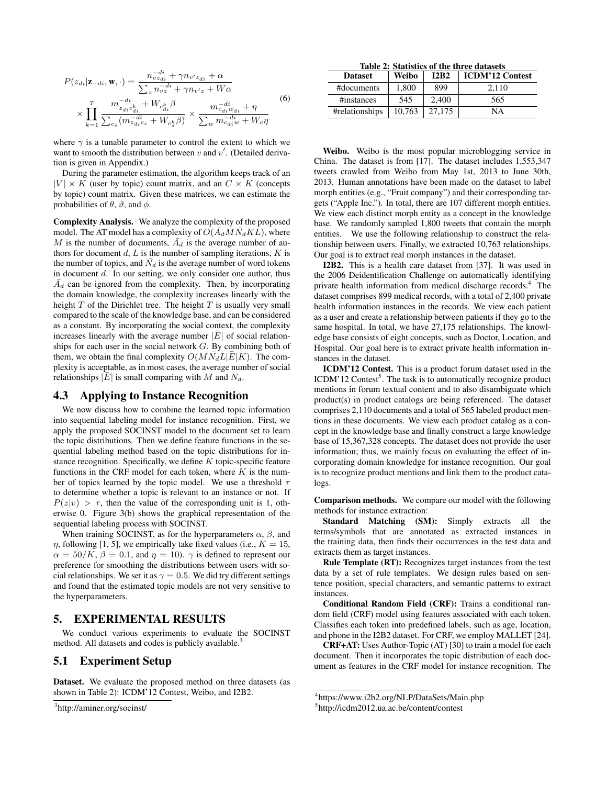$$
P(z_{di}|\mathbf{z}_{-di}, \mathbf{w}, \cdot) = \frac{n_{v}^{-di}_{v} + \gamma n_{v'} z_{di} + \alpha}{\sum_{z} n_{v} z^{i} + \gamma n_{v'z} + W\alpha}
$$
  
 
$$
\times \prod_{k=1}^{T} \frac{m_{z_{di}c_{di}^{k}}^{-di} + W_{c_{di}^{k}}\beta}{\sum_{c_{s}} (m_{z_{di}c_{s}}^{-di} + W_{c_{s}^{k}}\beta)} \times \frac{m_{c_{di}^{j}w_{di}}^{-di} + \eta}{\sum_{w} m_{c_{di}^{j}w}^{-di} + W_{c}\eta}
$$
(6)

where  $\gamma$  is a tunable parameter to control the extent to which we want to smooth the distribution between  $v$  and  $v'$ . (Detailed derivation is given in Appendix.)

During the parameter estimation, the algorithm keeps track of an  $|V| \times K$  (user by topic) count matrix, and an  $C \times K$  (concepts by topic) count matrix. Given these matrices, we can estimate the probabilities of  $\theta$ ,  $\vartheta$ , and  $\phi$ .

Complexity Analysis. We analyze the complexity of the proposed model. The AT model has a complexity of  $O(A_dMN_dKL)$ , where M is the number of documents,  $\overline{A}_d$  is the average number of authors for document  $d$ ,  $L$  is the number of sampling iterations,  $K$  is the number of topics, and  $\bar{N}_d$  is the average number of word tokens in document  $d$ . In our setting, we only consider one author, thus  $\bar{A}_d$  can be ignored from the complexity. Then, by incorporating the domain knowledge, the complexity increases linearly with the height  $T$  of the Dirichlet tree. The height  $T$  is usually very small compared to the scale of the knowledge base, and can be considered as a constant. By incorporating the social context, the complexity increases linearly with the average number  $|E|$  of social relationships for each user in the social network G. By combining both of them, we obtain the final complexity  $O(M\bar{N}_d L |E|K)$ . The complexity is acceptable, as in most cases, the average number of social relationships  $|\overline{E}|$  is small comparing with M and  $N_d$ .

#### 4.3 Applying to Instance Recognition

We now discuss how to combine the learned topic information into sequential labeling model for instance recognition. First, we apply the proposed SOCINST model to the document set to learn the topic distributions. Then we define feature functions in the sequential labeling method based on the topic distributions for instance recognition. Specifically, we define  $K$  topic-specific feature functions in the CRF model for each token, where  $K$  is the number of topics learned by the topic model. We use a threshold  $\tau$ to determine whether a topic is relevant to an instance or not. If  $P(z|v) > \tau$ , then the value of the corresponding unit is 1, otherwise 0. Figure 3(b) shows the graphical representation of the sequential labeling process with SOCINST.

When training SOCINST, as for the hyperparameters  $\alpha$ ,  $\beta$ , and  $\eta$ , following [1, 5], we empirically take fixed values (i.e.,  $K = 15$ ,  $\alpha = 50/K$ ,  $\beta = 0.1$ , and  $\eta = 10$ ).  $\gamma$  is defined to represent our preference for smoothing the distributions between users with social relationships. We set it as  $\gamma = 0.5$ . We did try different settings and found that the estimated topic models are not very sensitive to the hyperparameters.

### 5. EXPERIMENTAL RESULTS

We conduct various experiments to evaluate the SOCINST method. All datasets and codes is publicly available.<sup>3</sup>

#### 5.1 Experiment Setup

Dataset. We evaluate the proposed method on three datasets (as shown in Table 2): ICDM'12 Contest, Weibo, and I2B2.

Table 2: Statistics of the three datasets

| <b>Dataset</b> | Weibo  | <b>12B2</b> | <b>ICDM'12 Contest</b> |
|----------------|--------|-------------|------------------------|
| #documents     | 1.800  | 899         | 2.110                  |
| #instances     | 545    | 2,400       | 565                    |
| #relationships | 10.763 | 27.175      | NA                     |

Weibo. Weibo is the most popular microblogging service in China. The dataset is from [17]. The dataset includes 1,553,347 tweets crawled from Weibo from May 1st, 2013 to June 30th, 2013. Human annotations have been made on the dataset to label morph entities (e.g., "Fruit company") and their corresponding targets ("Apple Inc."). In total, there are 107 different morph entities. We view each distinct morph entity as a concept in the knowledge base. We randomly sampled 1,800 tweets that contain the morph entities. We use the following relationship to construct the relationship between users. Finally, we extracted 10,763 relationships. Our goal is to extract real morph instances in the dataset.

I2B2. This is a health care dataset from [37]. It was used in the 2006 Deidentification Challenge on automatically identifying private health information from medical discharge records.<sup>4</sup> The dataset comprises 899 medical records, with a total of 2,400 private health information instances in the records. We view each patient as a user and create a relationship between patients if they go to the same hospital. In total, we have 27,175 relationships. The knowledge base consists of eight concepts, such as Doctor, Location, and Hospital. Our goal here is to extract private health information instances in the dataset.

ICDM'12 Contest. This is a product forum dataset used in the ICDM'12 Contest<sup>5</sup>. The task is to automatically recognize product mentions in forum textual content and to also disambiguate which product(s) in product catalogs are being referenced. The dataset comprises 2,110 documents and a total of 565 labeled product mentions in these documents. We view each product catalog as a concept in the knowledge base and finally construct a large knowledge base of 15,367,328 concepts. The dataset does not provide the user information; thus, we mainly focus on evaluating the effect of incorporating domain knowledge for instance recognition. Our goal is to recognize product mentions and link them to the product catalogs.

Comparison methods. We compare our model with the following methods for instance extraction:

Standard Matching (SM): Simply extracts all the terms/symbols that are annotated as extracted instances in the training data, then finds their occurrences in the test data and extracts them as target instances.

Rule Template (RT): Recognizes target instances from the test data by a set of rule templates. We design rules based on sentence position, special characters, and semantic patterns to extract instances.

Conditional Random Field (CRF): Trains a conditional random field (CRF) model using features associated with each token. Classifies each token into predefined labels, such as age, location, and phone in the I2B2 dataset. For CRF, we employ MALLET [24].

CRF+AT: Uses Author-Topic (AT) [30] to train a model for each document. Then it incorporates the topic distribution of each document as features in the CRF model for instance recognition. The

<sup>&</sup>lt;sup>3</sup>http://aminer.org/socinst/

<sup>4</sup> https://www.i2b2.org/NLP/DataSets/Main.php

<sup>5</sup> http://icdm2012.ua.ac.be/content/contest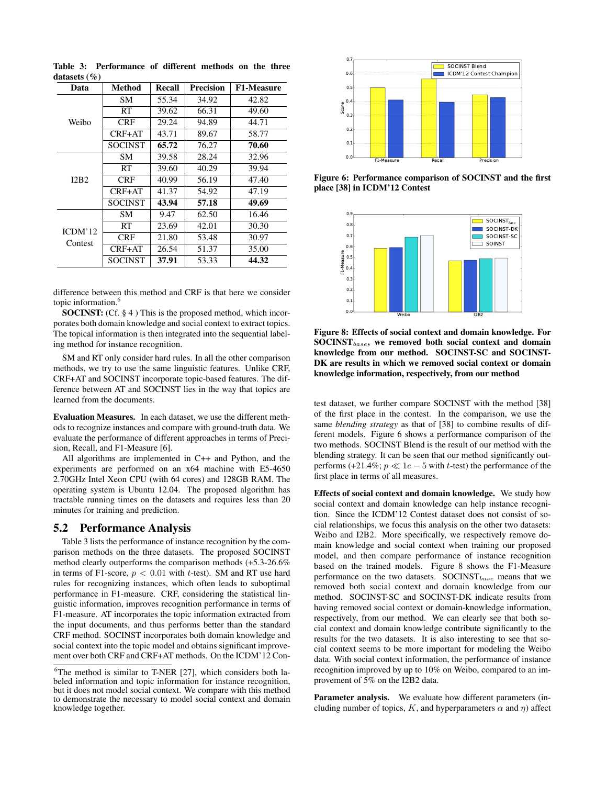| Data               | Method         | Recall | <b>Precision</b> | <b>F1-Measure</b> |
|--------------------|----------------|--------|------------------|-------------------|
| Weibo              | SM.            | 55.34  | 34.92            | 42.82             |
|                    | <b>RT</b>      | 39.62  | 66.31            | 49.60             |
|                    | CRF            | 29.24  | 94.89            | 44.71             |
|                    | $CRF+AT$       | 43.71  | 89.67            | 58.77             |
|                    | <b>SOCINST</b> | 65.72  | 76.27            | 70.60             |
| I2B2               | SМ             | 39.58  | 28.24            | 32.96             |
|                    | RT             | 39.60  | 40.29            | 39.94             |
|                    | CRF            | 40.99  | 56.19            | 47.40             |
|                    | $CRF+AT$       | 41.37  | 54.92            | 47.19             |
|                    | <b>SOCINST</b> | 43.94  | 57.18            | 49.69             |
| ICDM'12<br>Contest | SM.            | 9.47   | 62.50            | 16.46             |
|                    | RT             | 23.69  | 42.01            | 30.30             |
|                    | CRF            | 21.80  | 53.48            | 30.97             |
|                    | CRF+AT         | 26.54  | 51.37            | 35.00             |
|                    | <b>SOCINST</b> | 37.91  | 53.33            | 44.32             |

Table 3: Performance of different methods on the three datasets (%)

difference between this method and CRF is that here we consider topic information.<sup>6</sup>

SOCINST: (Cf. § 4) This is the proposed method, which incorporates both domain knowledge and social context to extract topics. The topical information is then integrated into the sequential labeling method for instance recognition.

SM and RT only consider hard rules. In all the other comparison methods, we try to use the same linguistic features. Unlike CRF, CRF+AT and SOCINST incorporate topic-based features. The difference between AT and SOCINST lies in the way that topics are learned from the documents.

Evaluation Measures. In each dataset, we use the different methods to recognize instances and compare with ground-truth data. We evaluate the performance of different approaches in terms of Precision, Recall, and F1-Measure [6].

All algorithms are implemented in C++ and Python, and the experiments are performed on an x64 machine with E5-4650 2.70GHz Intel Xeon CPU (with 64 cores) and 128GB RAM. The operating system is Ubuntu 12.04. The proposed algorithm has tractable running times on the datasets and requires less than 20 minutes for training and prediction.

# 5.2 Performance Analysis

Table 3 lists the performance of instance recognition by the comparison methods on the three datasets. The proposed SOCINST method clearly outperforms the comparison methods (+5.3-26.6% in terms of F1-score,  $p < 0.01$  with t-test). SM and RT use hard rules for recognizing instances, which often leads to suboptimal performance in F1-measure. CRF, considering the statistical linguistic information, improves recognition performance in terms of F1-measure. AT incorporates the topic information extracted from the input documents, and thus performs better than the standard CRF method. SOCINST incorporates both domain knowledge and social context into the topic model and obtains significant improvement over both CRF and CRF+AT methods. On the ICDM'12 Con-



Figure 6: Performance comparison of SOCINST and the first place [38] in ICDM'12 Contest



Figure 8: Effects of social context and domain knowledge. For  $SOCINST_{base}$ , we removed both social context and domain knowledge from our method. SOCINST-SC and SOCINST-DK are results in which we removed social context or domain knowledge information, respectively, from our method

test dataset, we further compare SOCINST with the method [38] of the first place in the contest. In the comparison, we use the same *blending strategy* as that of [38] to combine results of different models. Figure 6 shows a performance comparison of the two methods. SOCINST Blend is the result of our method with the blending strategy. It can be seen that our method significantly outperforms (+21.4%;  $p \ll 1e - 5$  with t-test) the performance of the first place in terms of all measures.

Effects of social context and domain knowledge. We study how social context and domain knowledge can help instance recognition. Since the ICDM'12 Contest dataset does not consist of social relationships, we focus this analysis on the other two datasets: Weibo and I2B2. More specifically, we respectively remove domain knowledge and social context when training our proposed model, and then compare performance of instance recognition based on the trained models. Figure 8 shows the F1-Measure performance on the two datasets.  $SOCINST_{base}$  means that we removed both social context and domain knowledge from our method. SOCINST-SC and SOCINST-DK indicate results from having removed social context or domain-knowledge information, respectively, from our method. We can clearly see that both social context and domain knowledge contribute significantly to the results for the two datasets. It is also interesting to see that social context seems to be more important for modeling the Weibo data. With social context information, the performance of instance recognition improved by up to 10% on Weibo, compared to an improvement of 5% on the I2B2 data.

Parameter analysis. We evaluate how different parameters (including number of topics, K, and hyperparameters  $\alpha$  and  $\eta$ ) affect

 $6$ The method is similar to T-NER [27], which considers both labeled information and topic information for instance recognition, but it does not model social context. We compare with this method to demonstrate the necessary to model social context and domain knowledge together.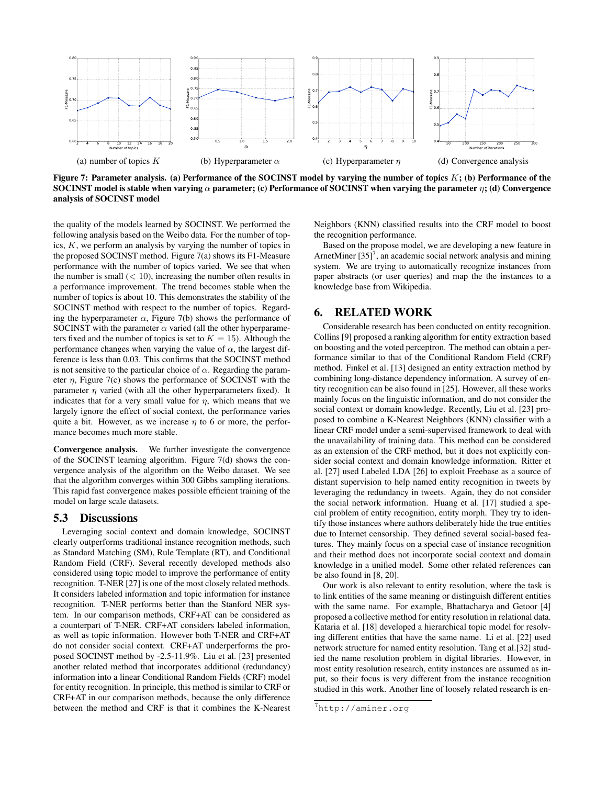

Figure 7: Parameter analysis. (a) Performance of the SOCINST model by varying the number of topics  $K$ ; (b) Performance of the SOCINST model is stable when varying  $\alpha$  parameter; (c) Performance of SOCINST when varying the parameter  $\eta$ ; (d) Convergence analysis of SOCINST model

the quality of the models learned by SOCINST. We performed the following analysis based on the Weibo data. For the number of topics,  $K$ , we perform an analysis by varying the number of topics in the proposed SOCINST method. Figure 7(a) shows its F1-Measure performance with the number of topics varied. We see that when the number is small  $(< 10$ ), increasing the number often results in a performance improvement. The trend becomes stable when the number of topics is about 10. This demonstrates the stability of the SOCINST method with respect to the number of topics. Regarding the hyperparameter  $\alpha$ , Figure 7(b) shows the performance of SOCINST with the parameter  $\alpha$  varied (all the other hyperparameters fixed and the number of topics is set to  $K = 15$ ). Although the performance changes when varying the value of  $\alpha$ , the largest difference is less than 0.03. This confirms that the SOCINST method is not sensitive to the particular choice of  $\alpha$ . Regarding the parameter  $\eta$ , Figure 7(c) shows the performance of SOCINST with the parameter  $\eta$  varied (with all the other hyperparameters fixed). It indicates that for a very small value for  $\eta$ , which means that we largely ignore the effect of social context, the performance varies quite a bit. However, as we increase  $\eta$  to 6 or more, the performance becomes much more stable.

Convergence analysis. We further investigate the convergence of the SOCINST learning algorithm. Figure 7(d) shows the convergence analysis of the algorithm on the Weibo dataset. We see that the algorithm converges within 300 Gibbs sampling iterations. This rapid fast convergence makes possible efficient training of the model on large scale datasets.

# 5.3 Discussions

Leveraging social context and domain knowledge, SOCINST clearly outperforms traditional instance recognition methods, such as Standard Matching (SM), Rule Template (RT), and Conditional Random Field (CRF). Several recently developed methods also considered using topic model to improve the performance of entity recognition. T-NER [27] is one of the most closely related methods. It considers labeled information and topic information for instance recognition. T-NER performs better than the Stanford NER system. In our comparison methods, CRF+AT can be considered as a counterpart of T-NER. CRF+AT considers labeled information, as well as topic information. However both T-NER and CRF+AT do not consider social context. CRF+AT underperforms the proposed SOCINST method by -2.5-11.9%. Liu et al. [23] presented another related method that incorporates additional (redundancy) information into a linear Conditional Random Fields (CRF) model for entity recognition. In principle, this method is similar to CRF or CRF+AT in our comparison methods, because the only difference between the method and CRF is that it combines the K-Nearest

Neighbors (KNN) classified results into the CRF model to boost the recognition performance.

Based on the propose model, we are developing a new feature in ArnetMiner  $[35]$ <sup>7</sup>, an academic social network analysis and mining system. We are trying to automatically recognize instances from paper abstracts (or user queries) and map the the instances to a knowledge base from Wikipedia.

# 6. RELATED WORK

Considerable research has been conducted on entity recognition. Collins [9] proposed a ranking algorithm for entity extraction based on boosting and the voted perceptron. The method can obtain a performance similar to that of the Conditional Random Field (CRF) method. Finkel et al. [13] designed an entity extraction method by combining long-distance dependency information. A survey of entity recognition can be also found in [25]. However, all these works mainly focus on the linguistic information, and do not consider the social context or domain knowledge. Recently, Liu et al. [23] proposed to combine a K-Nearest Neighbors (KNN) classifier with a linear CRF model under a semi-supervised framework to deal with the unavailability of training data. This method can be considered as an extension of the CRF method, but it does not explicitly consider social context and domain knowledge information. Ritter et al. [27] used Labeled LDA [26] to exploit Freebase as a source of distant supervision to help named entity recognition in tweets by leveraging the redundancy in tweets. Again, they do not consider the social network information. Huang et al. [17] studied a special problem of entity recognition, entity morph. They try to identify those instances where authors deliberately hide the true entities due to Internet censorship. They defined several social-based features. They mainly focus on a special case of instance recognition and their method does not incorporate social context and domain knowledge in a unified model. Some other related references can be also found in [8, 20].

Our work is also relevant to entity resolution, where the task is to link entities of the same meaning or distinguish different entities with the same name. For example, Bhattacharya and Getoor [4] proposed a collective method for entity resolution in relational data. Kataria et al. [18] developed a hierarchical topic model for resolving different entities that have the same name. Li et al. [22] used network structure for named entity resolution. Tang et al.[32] studied the name resolution problem in digital libraries. However, in most entity resolution research, entity instances are assumed as input, so their focus is very different from the instance recognition studied in this work. Another line of loosely related research is en-

<sup>7</sup>http://aminer.org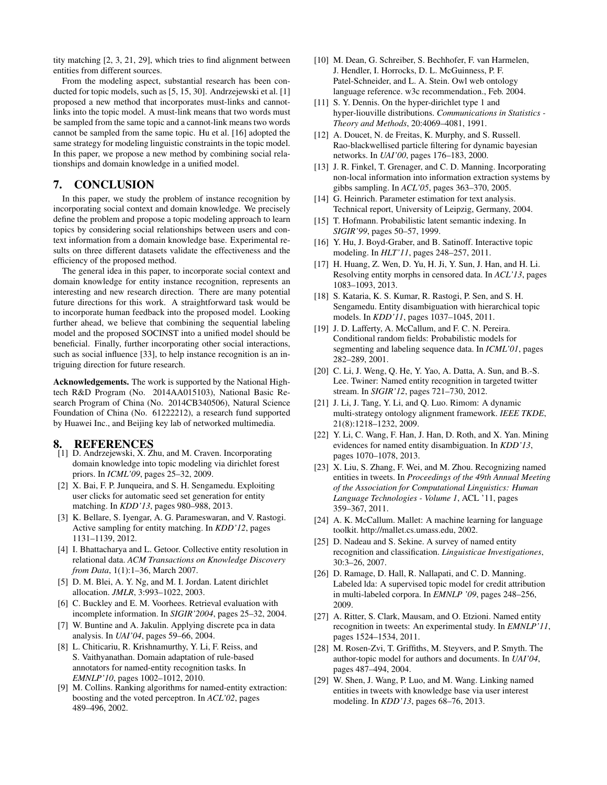tity matching [2, 3, 21, 29], which tries to find alignment between entities from different sources.

From the modeling aspect, substantial research has been conducted for topic models, such as [5, 15, 30]. Andrzejewski et al. [1] proposed a new method that incorporates must-links and cannotlinks into the topic model. A must-link means that two words must be sampled from the same topic and a cannot-link means two words cannot be sampled from the same topic. Hu et al. [16] adopted the same strategy for modeling linguistic constraints in the topic model. In this paper, we propose a new method by combining social relationships and domain knowledge in a unified model.

# 7. CONCLUSION

In this paper, we study the problem of instance recognition by incorporating social context and domain knowledge. We precisely define the problem and propose a topic modeling approach to learn topics by considering social relationships between users and context information from a domain knowledge base. Experimental results on three different datasets validate the effectiveness and the efficiency of the proposed method.

The general idea in this paper, to incorporate social context and domain knowledge for entity instance recognition, represents an interesting and new research direction. There are many potential future directions for this work. A straightforward task would be to incorporate human feedback into the proposed model. Looking further ahead, we believe that combining the sequential labeling model and the proposed SOCINST into a unified model should be beneficial. Finally, further incorporating other social interactions, such as social influence [33], to help instance recognition is an intriguing direction for future research.

Acknowledgements. The work is supported by the National Hightech R&D Program (No. 2014AA015103), National Basic Research Program of China (No. 2014CB340506), Natural Science Foundation of China (No. 61222212), a research fund supported by Huawei Inc., and Beijing key lab of networked multimedia.

#### 8. REFERENCES

- [1] D. Andrzejewski, X. Zhu, and M. Craven. Incorporating domain knowledge into topic modeling via dirichlet forest priors. In *ICML'09*, pages 25–32, 2009.
- [2] X. Bai, F. P. Junqueira, and S. H. Sengamedu. Exploiting user clicks for automatic seed set generation for entity matching. In *KDD'13*, pages 980–988, 2013.
- [3] K. Bellare, S. Iyengar, A. G. Parameswaran, and V. Rastogi. Active sampling for entity matching. In *KDD'12*, pages 1131–1139, 2012.
- [4] I. Bhattacharya and L. Getoor. Collective entity resolution in relational data. *ACM Transactions on Knowledge Discovery from Data*, 1(1):1–36, March 2007.
- [5] D. M. Blei, A. Y. Ng, and M. I. Jordan. Latent dirichlet allocation. *JMLR*, 3:993–1022, 2003.
- [6] C. Buckley and E. M. Voorhees. Retrieval evaluation with incomplete information. In *SIGIR'2004*, pages 25–32, 2004.
- [7] W. Buntine and A. Jakulin. Applying discrete pca in data analysis. In *UAI'04*, pages 59–66, 2004.
- [8] L. Chiticariu, R. Krishnamurthy, Y. Li, F. Reiss, and S. Vaithyanathan. Domain adaptation of rule-based annotators for named-entity recognition tasks. In *EMNLP'10*, pages 1002–1012, 2010.
- [9] M. Collins. Ranking algorithms for named-entity extraction: boosting and the voted perceptron. In *ACL'02*, pages 489–496, 2002.
- [10] M. Dean, G. Schreiber, S. Bechhofer, F. van Harmelen, J. Hendler, I. Horrocks, D. L. McGuinness, P. F. Patel-Schneider, and L. A. Stein. Owl web ontology language reference. w3c recommendation., Feb. 2004.
- [11] S. Y. Dennis. On the hyper-dirichlet type 1 and hyper-liouville distributions. *Communications in Statistics - Theory and Methods*, 20:4069–4081, 1991.
- [12] A. Doucet, N. de Freitas, K. Murphy, and S. Russell. Rao-blackwellised particle filtering for dynamic bayesian networks. In *UAI'00*, pages 176–183, 2000.
- [13] J. R. Finkel, T. Grenager, and C. D. Manning. Incorporating non-local information into information extraction systems by gibbs sampling. In *ACL'05*, pages 363–370, 2005.
- [14] G. Heinrich. Parameter estimation for text analysis. Technical report, University of Leipzig, Germany, 2004.
- [15] T. Hofmann. Probabilistic latent semantic indexing. In *SIGIR'99*, pages 50–57, 1999.
- [16] Y. Hu, J. Boyd-Graber, and B. Satinoff. Interactive topic modeling. In *HLT'11*, pages 248–257, 2011.
- [17] H. Huang, Z. Wen, D. Yu, H. Ji, Y. Sun, J. Han, and H. Li. Resolving entity morphs in censored data. In *ACL'13*, pages 1083–1093, 2013.
- [18] S. Kataria, K. S. Kumar, R. Rastogi, P. Sen, and S. H. Sengamedu. Entity disambiguation with hierarchical topic models. In *KDD'11*, pages 1037–1045, 2011.
- [19] J. D. Lafferty, A. McCallum, and F. C. N. Pereira. Conditional random fields: Probabilistic models for segmenting and labeling sequence data. In *ICML'01*, pages 282–289, 2001.
- [20] C. Li, J. Weng, Q. He, Y. Yao, A. Datta, A. Sun, and B.-S. Lee. Twiner: Named entity recognition in targeted twitter stream. In *SIGIR'12*, pages 721–730, 2012.
- [21] J. Li, J. Tang, Y. Li, and Q. Luo. Rimom: A dynamic multi-strategy ontology alignment framework. *IEEE TKDE*, 21(8):1218–1232, 2009.
- [22] Y. Li, C. Wang, F. Han, J. Han, D. Roth, and X. Yan. Mining evidences for named entity disambiguation. In *KDD'13*, pages 1070–1078, 2013.
- [23] X. Liu, S. Zhang, F. Wei, and M. Zhou. Recognizing named entities in tweets. In *Proceedings of the 49th Annual Meeting of the Association for Computational Linguistics: Human Language Technologies - Volume 1*, ACL '11, pages 359–367, 2011.
- [24] A. K. McCallum. Mallet: A machine learning for language toolkit. http://mallet.cs.umass.edu, 2002.
- [25] D. Nadeau and S. Sekine. A survey of named entity recognition and classification. *Linguisticae Investigationes*, 30:3–26, 2007.
- [26] D. Ramage, D. Hall, R. Nallapati, and C. D. Manning. Labeled lda: A supervised topic model for credit attribution in multi-labeled corpora. In *EMNLP '09*, pages 248–256, 2009.
- [27] A. Ritter, S. Clark, Mausam, and O. Etzioni. Named entity recognition in tweets: An experimental study. In *EMNLP'11*, pages 1524–1534, 2011.
- [28] M. Rosen-Zvi, T. Griffiths, M. Steyvers, and P. Smyth. The author-topic model for authors and documents. In *UAI'04*, pages 487–494, 2004.
- [29] W. Shen, J. Wang, P. Luo, and M. Wang. Linking named entities in tweets with knowledge base via user interest modeling. In *KDD'13*, pages 68–76, 2013.